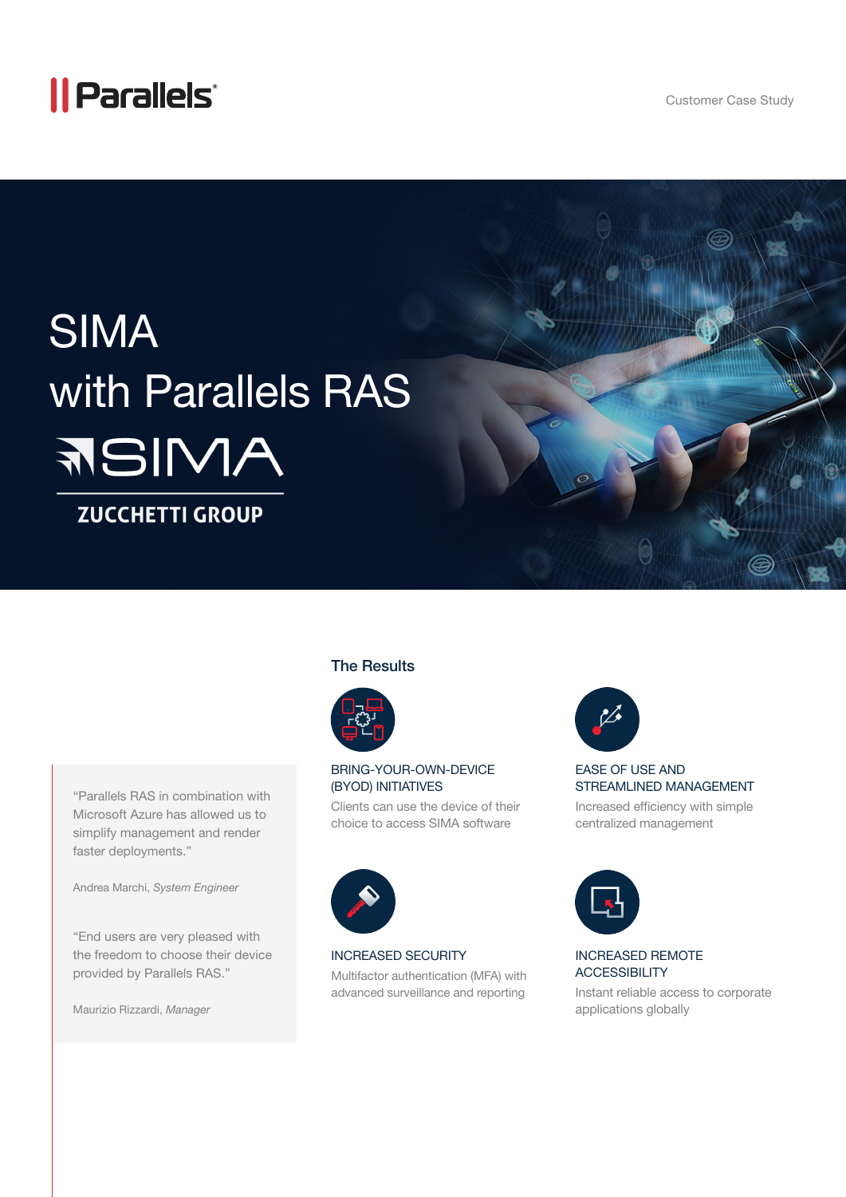## *|| Parallels*

Customer Case Study

# SIMA with Parallels RAS **ANIBE**

### **ZUCCHETTI GROUP**

#### The Results



#### BRING-YOUR-OWN-DEVICE (BYOD) INITIATIVES

Clients can use the device of their choice to access SIMA software



#### EASE OF USE AND STREAMLINED MANAGEMENT

Increased efficiency with simple centralized management



#### INCREASED REMOTE **ACCESSIBILITY**

Instant reliable access to corporate applications globally

"Parallels RAS in combination with Microsoft Azure has allowed us to simplify management and render faster deployments."

Andrea Marchi, *System Engineer* 

"End users are very pleased with the freedom to choose their device provided by Parallels RAS."

Maurizio Rizzardi, *Manager* 



#### INCREASED SECURITY

Multifactor authentication (MFA) with advanced surveillance and reporting